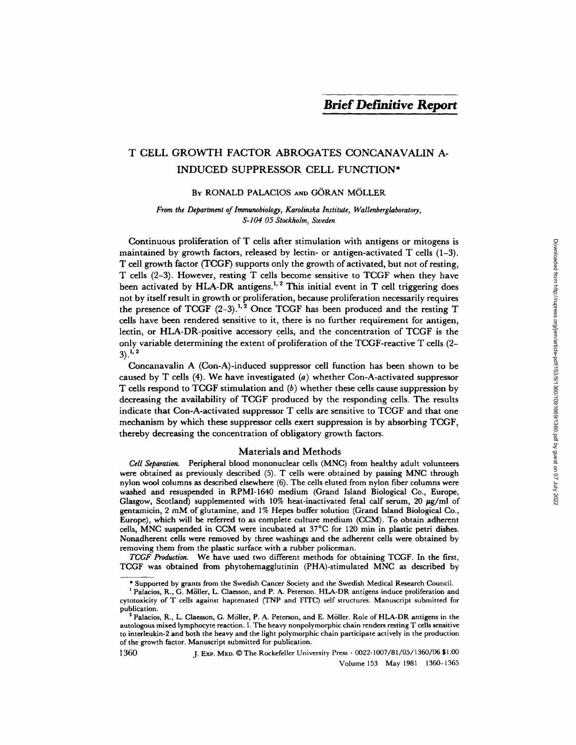# T CELL GROWTH FACTOR ABROGATES CONCANAVALIN A-INDUCED SUPPRESSOR CELL FUNCTION\*

# BY RONALD PALACIOS AND GÖRAN MÖLLER

From the Department of Immunobiology, Karolinska Institute, Wallenberglaboratory, *S-104 05 Stockholm, Sweden* 

Continuous proliferation of T cells after stimulation with antigens or mitogens is maintained by growth factors, released by lectin- or antigen-activated  $T$  cells  $(1-3)$ . T cell growth factor (TCGF) supports only the growth of activated, but not of resting, T ceils (2-3). However, resting T cells become sensitive to TCGF when they have been activated by HLA-DR antigens.<sup>1, 2</sup> This initial event in T cell triggering does not by itself result in growth or proliferation, because proliferation necessarily requires the presence of TCGF  $(2-3)$ .<sup>1,2</sup> Once TCGF has been produced and the resting T cells have been rendered sensitive to it, there is no further requirement for antigen, lectin, or HLA-DR-positive accessory cells, and the concentration of TCGF is the only variable determining the extent of proliferation of the TCGF-reactive T cells (2-  $3)$ <sup>1, 2</sup>

Concanavalin A (Con-A)-induced suppressor cell function has been shown to be caused by T cells (4). We have investigated (a) whether Con-A-activated suppressor T cells respond to TCGF stimulation and (b) whether these cells cause suppression by decreasing the availability of TCGF produced by the responding cells. The results indicate that Con-A-activated suppressor T cells are sensitive to TCGF and that one mechanism by which these suppressor cells exert suppression is by absorbing TCGF, thereby decreasing the concentration of obligatory growth factors.

### Materials and Methods

*Cell Separation.* Peripheral blood mononuclear cells (MNC) from healthy adult volunteers were obtained as previously described (5). T cells were obtained by passing MNC through nylon wool columns as described elsewhere (6). The cells eluted from nylon fiber columns were washed and resuspended in RPMI-1640 medium (Grand Island Biological Co., Europe, Glasgow, Scotland) supplemented with 10% heat-inactivated fetal calf serum, 20  $\mu$ g/ml of gentamicin, 2 mM of glutamine, and 1% Hepes buffer solution (Grand Island Biological Co., Europe), which will be referred to as complete culture medium (CCM). To obtain adherent cells, MNC suspended in CCM were incubated at 37°C for 120 min in plastic petri dishes. Nonadherent ceils were removed by three washings and the adherent cells were obtained by removing them from the plastic surface with a rubber policeman.

*TCGF Production.* We have used two different methods for obtaining TCGF. In the first, TCGF was obtained from phytohemagglutinin (PHA)-stimulated MNC as described by

1360 J. Exp. MED. © The Rockefeller University Press • 0022-1007/81/05/1360/06 \$1.00 Volume 153 May 1981 1360-1365

<sup>\*</sup> Supported by grants from the Swedish Cancer Society and the Swedish Medical Research Council.

<sup>&</sup>lt;sup>1</sup> Palacios, R., G. Möller, L. Claesson, and P. A. Peterson. HLA-DR antigens induce proliferation and cytotoxicity of T cells against haptenated (TNP and FITC) self structures. Manuscript submitted for publication.

<sup>&</sup>lt;sup>2</sup> Palacios, R., L. Claesson, G. Möller, P. A. Peterson, and E. Möller. Role of HLA-DR antigens in the autologous mixed lymphocyte reaction. I. The heavy nonpolymorphic chain renders resting T cells sensitive to interleukin-2 and both the heavy and the light polymorphic chain participate actively in the production of the growth factor. Manuscript submitted for publication.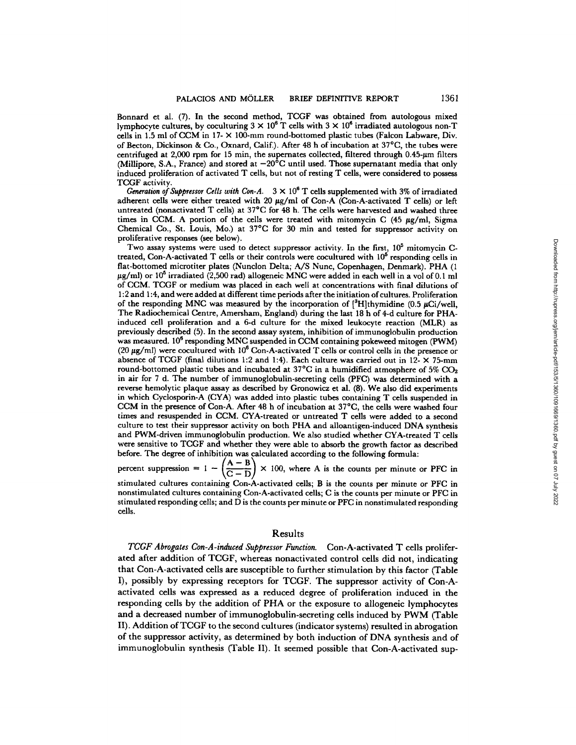Bonnard et al. (7). In the second method, TCGF was obtained from autologous mixed lymphocyte cultures, by coculturing  $3 \times 10^6$  T cells with  $3 \times 10^6$  irradiated autologous non-T cells in 1.5 ml of CCM in 17- $\times$  100-mm round-bottomed plastic tubes (Falcon Labware, Div. of Becton, Dickinson & Co., Oxnard, Calif.). After 48 h of incubation at 37°C, the tubes were centrifuged at  $2,000$  rpm for 15 min, the supernates collected, filtered through 0.45- $\mu$ m filters (Millipore, S.A., France) and stored at  $-20^{\circ}$ C until used. Those supernatant media that only induced proliferation of activated T cells, but not of resting T cells, were considered to possess TCGF activity.

*Generation of Suppressor Cells with Con-A.*  $3 \times 10^6$  T cells supplemented with 3% of irradiated adherent cells were either treated with 20  $\mu$ g/ml of Con-A (Con-A-activated T cells) or left untreated (nonactivated T cells) at 37°C for 48 h. The cells were harvested and washed three times in CCM. A portion of the cells were treated with mitomycin C  $(45 \mu g/ml)$ , Sigma Chemical Co., St. Louis, Mo.) at 37°C for 30 min and tested for suppressor activity on proliferative responses (see below).

Two assay systems were used to detect suppressor activity. In the first,  $10<sup>5</sup>$  mitomycin Ctreated, Con-A-activated T cells or their controls were cocultured with  $10<sup>6</sup>$  responding cells in flat-bottomed microtiter plates (Nunclon Delta; A/S Nunc, Copenhagen, Denmark). PHA (1  $\mu$ g/ml) or 10<sup>6</sup> irradiated (2,500 rad) allogeneic MNC were added in each well in a vol of 0.1 ml of CCM. TCGF or medium was placed in each well at concentrations with final dilutions of **1:2** and 1:4, and were added at different time periods after the initiation ofcuhures. Proliferation of the responding MNC was measured by the incorporation of  $[{}^3H]$ thymidine (0.5 µCi/well, The Radiochemieal Centre, Amersham, England) during the last 18 h of 4-d culture for PHAinduced cell proliferation and a 6-d culture for the mixed leukocyte reaction (MLR) as previously described (5). In the second assay system, inhibition of immunoglobulin production was measured. 10<sup>6</sup> responding MNC suspended in CCM containing pokeweed mitogen (PWM)  $(20 \mu g/ml)$  were cocultured with 10<sup>6</sup> Con-A-activated T cells or control cells in the presence or absence of TCGF (final dilutions 1:2 and 1:4). Each culture was carried out in 12- $\times$  75-mm round-bottomed plastic tubes and incubated at  $37^{\circ}$ C in a humidified atmosphere of  $5\%$  CO<sub>2</sub> in air for 7 d. The number of immunoglobulin-secreting cells (PFC) was determined with a reverse hemolytic plaque assay as described by Gronowicz et al. (8). We also did experiments in which Cyclosporin-A (CYA) was added into plastic tubes containing T cells suspended in CCM in the presence of Con-A. After 48 h of incubation at 37°C, the ceils were washed four times and resuspended in CCM. CYA-treated or untreated T cells were added to a second culture to test their suppressor activity on both PHA and alloantigen-induced DNA synthesis and PWM-driven immunoglobulin production. We also studied whether CYA-treated T cells were sensitive to TCGF and whether they were able to absorb the growth factor as described

before. The degree of inhibition was calculated according to the following formula:<br>percent suppression =  $1 - \left(\frac{A - B}{C - D}\right) \times 100$ , where A is the counts per minute  $\times$  100, where A is the counts per minute or PFC in stimulated cultures containing Con-A-activated cells; B is the counts per minute or PFC in

nonstimulated cultures containing Con-A-activated cells; C is the counts per minute or PFC in stimulated responding cells; and  $\overline{D}$  is the counts per minute or PFC in nonstimulated responding cells.

# Results

*TCGF Abrogates Con-A-induced Suppressor Function.* Con-A-activated T cells proliferated after addition of TCGF, whereas nonactivated control cells did not, indicating that Con-A-activated cells are susceptible to further stimulation by this factor (Table I), possibly by expressing receptors for TCGF. The suppressor activity of Con-Aactivated cells was expressed as a reduced degree of proliferation induced in the responding cells by the addition of PHA or the exposure to allogeneic lymphocytes and a decreased number of immunoglobulin-secreting cells induced by PWM (Table II). Addition of TCGF to the second cultures (indicator systems) resulted in abrogation of the suppressor activity, as determined by both induction of DNA synthesis and of immunoglobulin synthesis (Table II). It seemed possible that Con-A-activated sup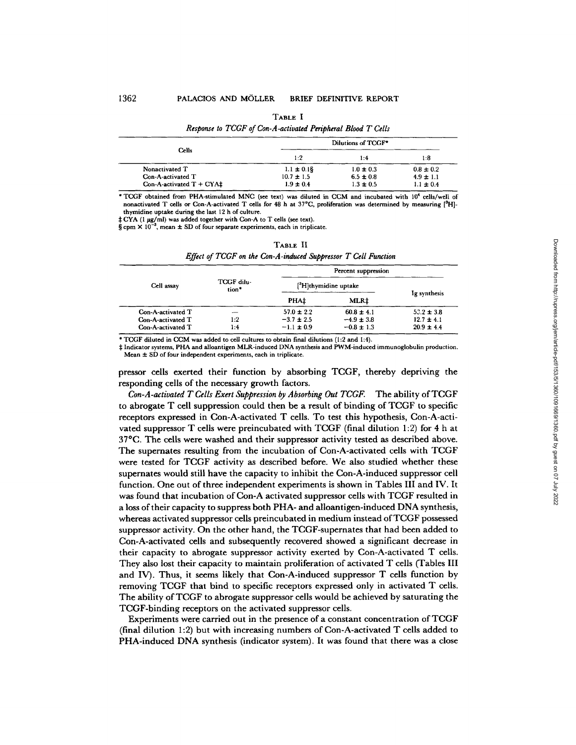TABLE I

| Response to TCGF of Con-A-activated Peripheral Blood T Cells |                    |               |               |
|--------------------------------------------------------------|--------------------|---------------|---------------|
| Cells                                                        | Dilutions of TCGF* |               |               |
|                                                              | 1:2                | 1:4           | 1:8           |
| Nonactivated T                                               | $1.1 \pm 0.15$     | $1.0 \pm 0.3$ | $0.8 \pm 0.2$ |
| Con-A-activated T                                            | $10.7 \pm 1.5$     | $6.5 \pm 0.8$ | $4.9 \pm 1.1$ |
| Con-A-activated $T + CYA\ddagger$                            | $1.9 \pm 0.4$      | $1.3 \pm 0.5$ | $11 \pm 0.4$  |

\* TCGF obtained from PHA-stimulated MNC (see text) was diluted in CCM and incubated with 10<sup>4</sup> cells/well of nonactivated T cells or Con-A-activated T cells for 48 h at  $37^{\circ}$ C, proliferation was determined by measuring  $[{}^{8}$ H]thymidine uptake during the last 12 h of culture.

 $\frac{1}{2}$  CYA (1 µg/ml) was added together with Con-A to T cells (see text).

 $\S$  cpm  $\times$  10<sup>-3</sup>, mean  $\pm$  SD of four separate experiments, each in triplicate.

|                                                             |                     |                                                    | Percent suppression                                |                                                    |  |
|-------------------------------------------------------------|---------------------|----------------------------------------------------|----------------------------------------------------|----------------------------------------------------|--|
| Cell assay                                                  | TCGF dilu-<br>tion* | $[$ <sup>3</sup> H thymidine uptake                |                                                    |                                                    |  |
|                                                             |                     | PHA <sup>+</sup>                                   | <b>MLR‡</b>                                        | Ig synthesis                                       |  |
| Con-A-activated T<br>Con-A-activated T<br>Con-A-activated T | 1:2<br>1:4          | $57.0 \pm 2.2$<br>$-3.7 \pm 2.5$<br>$-1.1 \pm 0.9$ | $60.8 \pm 4.1$<br>$-4.9 \pm 3.8$<br>$-0.8 \pm 1.3$ | $52.2 \pm 3.8$<br>$12.7 \pm 4.1$<br>$20.9 \pm 4.4$ |  |

| TABLE II                                                       |  |  |
|----------------------------------------------------------------|--|--|
| Effect of TCGF on the Con-A-induced Suppressor T Cell Function |  |  |

\* TCGF diluted in CCM was added to cell cultures to obtain final dilutions (1:2 and 1:4),

 $\ddagger$  Indicator systems, PHA and alloantigen MLR-induced DNA synthesis and PWM-induced immunoglobulin production. Mean ± SD of four independent experiments, each in triplicate.

pressor cells exerted their function by absorbing TCGF, thereby depriving the responding cells of the necessary growth factors.

*Con-A-activated T Cells Exert Suppression by Absorbing Out TCGF.* The ability of TCGF to abrogate T cell suppression could then be a result of binding of TCGF to specific receptors expressed in Con-A-activated T cells. To test this hypothesis, Con-A-activated suppressor T cells were preincubated with TCGF (final dilution 1:2) for **4 h** at 37°C. The cells were washed and their suppressor activity tested as described above. The supernates resulting from the incubation of Con-A-activated cells with TCGF were tested for TCGF activity as described before. We also studied whether these supernates would still have the capacity to inhibit the Con-A-induced suppressor cell function. One out of three independent experiments is shown in Tables III and IV. It was found that incubation of Con-A activated suppressor cells with TCGF resulted in a loss of their capacity to suppress both PHA- and alloantigen-induced DNA synthesis, whereas activated suppressor cells preincubated in medium instead of TCGF possessed suppressor activity. On the other hand, the TCGF-supernates that had been added to Con-A-activated cells and subsequently recovered showed a significant decrease in their capacity to abrogate suppressor activity exerted by Con-A-activated T cells. They also lost their capacity to maintain proliferation of activated T cells (Tables III and IV). Thus, it seems likely that Con-A-induced suppressor T cells function by removing TCGF that bind to specific receptors expressed only in activated T cells. The ability of TCGF to abrogate suppressor cells would be achieved by saturating the TCGF-binding receptors on the activated suppressor cells.

Experiments were carried out in the presence of a constant concentration of TCGF (final dilution 1:2) but with increasing numbers of Con-A-activated T cells added to PHA-induced DNA synthesis (indicator system). It was found that there was a close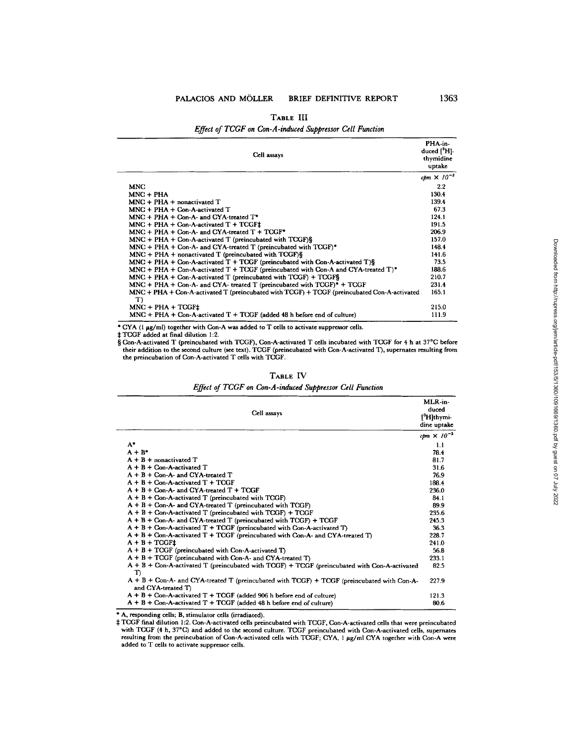# PALACIOS AND MÖLLER BRIEF DEFINITIVE REPORT 1363

| TABLE III                                                |  |
|----------------------------------------------------------|--|
| Effect of TCGF on Con-A-induced Suppressor Cell Function |  |

| Cell assays                                                                                              | PHA-in-<br>duced $[{}^3H]$ .<br>thymidine<br>uptake |
|----------------------------------------------------------------------------------------------------------|-----------------------------------------------------|
|                                                                                                          | cpm $\times 10^{-3}$                                |
| <b>MNC</b>                                                                                               | 2.2                                                 |
| $MNC + PHA$                                                                                              | 130.4                                               |
| $MNC + PHA + nonactivated T$                                                                             | 139.4                                               |
| $MNC + PHA + Con-A-activatedT$                                                                           | 67.3                                                |
| $MNC + PHA + Con-A-$ and $CYA$ -treated $T^*$                                                            | 124.1                                               |
| $MNC + PHA + Con-A-activated T + TCGF+$                                                                  | 191.5                                               |
| $MNC + PHA + Con-A-$ and $CYA$ -treated $T + TCGF^*$                                                     | 206.9                                               |
| $MNC + PHA + Con-A-activated T$ (preincubated with $TCGF)$ §                                             | 157.0                                               |
| $MNC + PHA + Con-A-$ and $CYA$ -treated T (preincubated with $TCGF)^*$                                   | 1484                                                |
| $MNC + PHA + nonactivated T (preincubated with TCGF)\$                                                   | 141.6                                               |
| $MNC + PHA + Con-A-activated T + TCGF$ (preincubated with Con-A-activated T)§                            | 73.5                                                |
| $MNC + PHA + Con-A-activated T + TCGF$ (preincubated with Con-A and CYA-treated T) <sup>*</sup>          | 188.6                                               |
| $MNC + PHA + Con-A-activated T$ (preincubated with $TCGF) + TCGF\$                                       | 210.7                                               |
| $MNC + PHA + Con-A-$ and CYA- treated T (preincubated with $TCGF$ ) <sup>*</sup> + TCGF                  | 231.4                                               |
| $MNC + PHA + Con-A-activated T$ (preincubated with $TCGF$ ) + $TCGF$ (preincubated Con-A-activated<br>T) | 165.1                                               |
| $MNC + PHA + TCGF+$                                                                                      | 215.0                                               |
| $MNC + PHA + Con-A-activated T + TCGF (added 48 h before end of culture)$                                | 111.9                                               |

\* CYA (1 µg/ml) together with Con-A was added to T cells to activate suppressor cells.<br>‡ TCGF added at final dilution 1:2.<br>§ Con-A-activated T (preincubated with TCGF), Con-A-activated T cells incubated with TCGF for 4 h a their addition to the second culture (see text). TCGF (preincubated with Con-A-activated T), supernates resulting from the preincubation of Con-A-activated T cells with TCGF.

#### **TABLE IV**

*Effect of TCGF on Con-A-induced Suppressor Cell Function* 

| Cell assays                                                                                                        | MLR-in-<br>duced<br>[ <sup>3</sup> H]thymi-<br>dine uptake |
|--------------------------------------------------------------------------------------------------------------------|------------------------------------------------------------|
|                                                                                                                    | cpm $\times 10^{-3}$                                       |
| $A^*$                                                                                                              | 1.1                                                        |
| $A + B^*$                                                                                                          | 78.4                                                       |
| $A + B +$ nonactivated $T$                                                                                         | 81.7                                                       |
| $A + B +$ Con-A-activated T                                                                                        | 31.6                                                       |
| $A + B + Con-A-$ and CYA-treated T                                                                                 | 76.9                                                       |
| $A + B + Con-A$ -activated $T + TCGF$                                                                              | 188.4                                                      |
| $A + B + Con-A-$ and CYA-treated $T + TCGF$                                                                        | 236.0                                                      |
| $A + B + Con-A$ -activated T (preincubated with TCGF)                                                              | 84.1                                                       |
| $A + B + Con-A-$ and CYA-treated T (preincubated with TCGF)                                                        | 89.9                                                       |
| $A + B + Con-A$ -activated T (preincubated with TCGF) + TCGF                                                       | 235.6                                                      |
| $A + B + Con-A$ - and CYA-treated T (preincubated with TCGF) + TCGF                                                | 245.3                                                      |
| $A + B + Con-A-activated T + TCGF$ (preincubated with Con-A-activated T)                                           | 36.3                                                       |
| $A + B + Con-A$ -activated $T + TCGF$ (preincubated with Con-A- and CYA-treated T)                                 | 228.7                                                      |
| $A + B + TCGF1$                                                                                                    | 241.0                                                      |
| $A + B + TCGF$ (preincubated with Con-A-activated T)                                                               | 56.8                                                       |
| $A + B + TCGF$ (preincubated with Con-A- and CYA-treated T)                                                        | 233.1                                                      |
| A + B + Con-A-activated T (preincubated with TCGF) + TCGF (preincubated with Con-A-activated<br>T)                 | 82.5                                                       |
| $A + B + Con-A-$ and CYA-treated T (preincubated with TCGF) + TCGF (preincubated with Con-A-<br>and CYA-treated T) | 227.9                                                      |
| $A + B +$ Con-A-activated T + TCGF (added 906 h before end of culture)                                             | 1213                                                       |
| $A + B +$ Con-A-activated T + TCGF (added 48 h before end of culture)                                              | 80.6                                                       |

\* A, responding cells; B, stimulator cells (irradiated).

# TCGF final dilution 1:2. Con-A-activated cells preincubated with TCGF, Con-A-activated cells that were preincubated<br>with TCGF (4 h, 37°C) and added to the second culture. TCGF preincubated with Con-A-activated cells, sup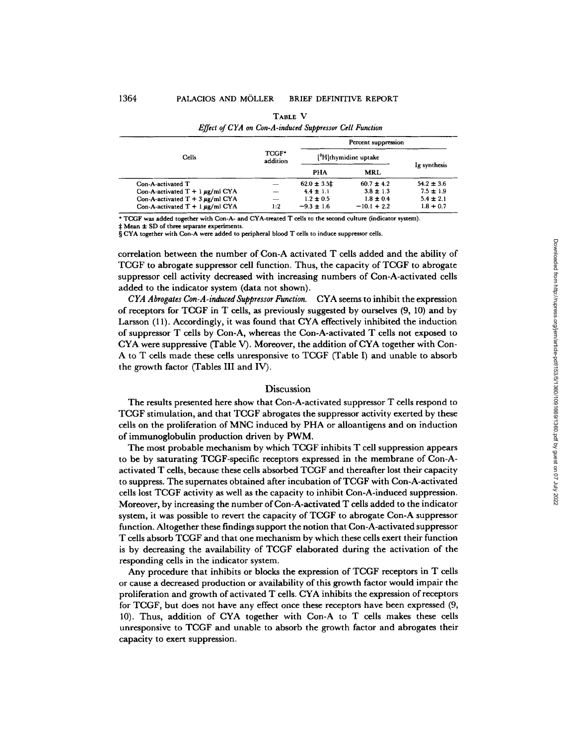| TCGF*<br>addition | [ <sup>3</sup> H]thymidine uptake |                | Ig synthesis        |  |  |
|-------------------|-----------------------------------|----------------|---------------------|--|--|
|                   | PHA                               | MRL            |                     |  |  |
|                   | $62.0 \pm 3.5$ ‡                  | $60.7 \pm 4.2$ | $54.2 \pm 3.6$      |  |  |
|                   | $4.4 \pm 1.1$                     | $3.8 \pm 1.3$  | $7.5 \pm 1.9$       |  |  |
|                   | $1.2 \pm 0.5$                     | $1.8 \pm 0.4$  | $5.4 \pm 2.1$       |  |  |
| 1:2               | $-9.3 \pm 1.6$                    | $-10.1 + 2.2$  | $1.8 + 0.7$         |  |  |
|                   |                                   |                | Percent suppression |  |  |

|                                                         | TABLE V |  |
|---------------------------------------------------------|---------|--|
| Effect of CYA on Con-A-induced Suppressor Cell Function |         |  |

\* TCGF was added together with Con-A- and CYA-treated T cells to the second culture (indicator system).

Mean ± SD of three separate experiments.

§ CYA together with Con-A were added to peripheral blood T cells to induce suppressor cells.

correlation between the number of Con-A activated T cells added and the ability of TCGF to abrogate suppressor cell function. Thus, the capacity of TCGF to abrogate suppressor cell activity decreased with increasing numbers of Con-A-activated cells added to the indicator system (data not shown).

*CYA Abrogates Con-A-induced Suppressor Function.* CYA seems to inhibit the expression of receptors for TCGF in T ceils, as previously suggested by ourselves (9, 10) and by Larsson (11). Accordingly, it was found that CYA effectively inhibited the induction of suppressor T ceils by Con-A, whereas the Con-A-activated T cells not exposed to CYA were suppressive (Table V). Moreover, the addition of CYA together with Con-A to T cells made these ceils unresponsive to TCGF (Table I) and unable to absorb the growth factor (Tables III and IV).

### **Discussion**

The results presented here show that Con-A-activated suppressor T cells respond to TCGF stimulation, and that TCGF abrogates the suppressor activity exerted by these cells on the proliferation of MNC induced by PHA or alloantigens and on induction of immunoglobulin production driven by PWM.

The most probable mechanism by which TCGF inhibits T cell suppression appears to be by saturating TCGF-specific receptors expressed in the membrane of Con-Aactivated T cells, because these cells absorbed TCGF and thereafter lost their capacity to suppress. The supernates obtained after incubation of TCGF with Con-A-activated cells lost TCGF activity as well as the capacity to inhibit Con-A-induced suppression. Moreover, by increasing the number of Con-A-activated T cells added to the indicator system, it was possible to revert the capacity of TCGF to abrogate Con-A suppressor function. Altogether these findings support the notion that Con-A-activated suppressor T cells absorb TCGF and that one mechanism by which these cells exert their function is by decreasing the availability of TCGF elaborated during the activation of the responding cells in the indicator system.

Any procedure that inhibits or blocks the expression of TCGF receptors in T cells or cause a decreased production or availability of this growth factor would impair the proliferation and growth of activated T cells. CYA inhibits the expression of receptors for TCGF, but does not have any effect once these receptors have been expressed (9, 10). Thus, addition of CYA together with Con-A to T cells makes these cells unresponsive to TCGF and unable to absorb the growth factor and abrogates their capacity to exert suppression.